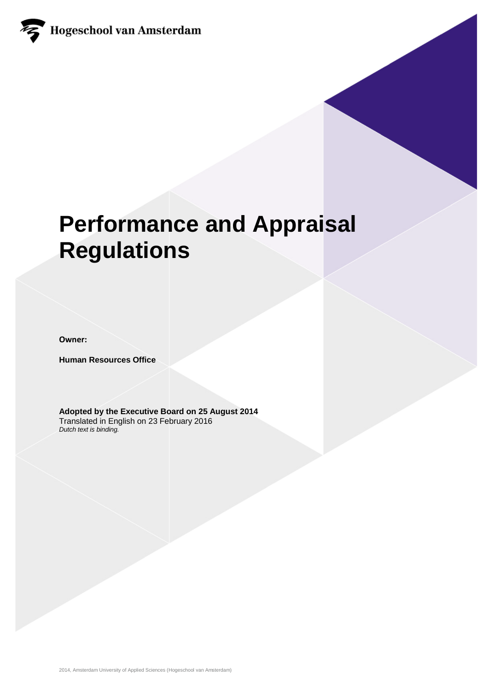

# **Performance and Appraisal Regulations**

**Owner:** 

**Human Resources Office**

**Adopted by the Executive Board on 25 August 2014** Translated in English on 23 February 2016 *Dutch text is binding.*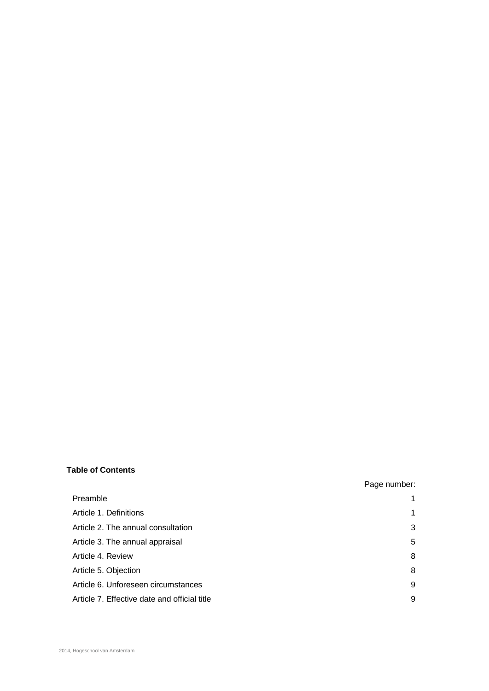### **Table of Contents**

| Preamble                                     |   |
|----------------------------------------------|---|
| Article 1. Definitions                       | 1 |
| Article 2. The annual consultation           | 3 |
| Article 3. The annual appraisal              | 5 |
| Article 4. Review                            | 8 |
| Article 5. Objection                         | 8 |
| Article 6. Unforeseen circumstances          | g |
| Article 7. Effective date and official title | g |

Page number: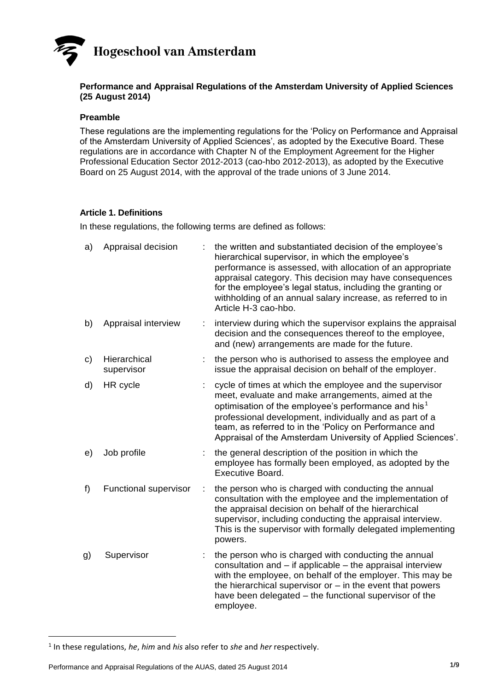## **Hogeschool van Amsterdam**

#### **Performance and Appraisal Regulations of the Amsterdam University of Applied Sciences (25 August 2014)**

#### **Preamble**

These regulations are the implementing regulations for the 'Policy on Performance and Appraisal of the Amsterdam University of Applied Sciences', as adopted by the Executive Board. These regulations are in accordance with Chapter N of the Employment Agreement for the Higher Professional Education Sector 2012-2013 (cao-hbo 2012-2013), as adopted by the Executive Board on 25 August 2014, with the approval of the trade unions of 3 June 2014.

#### **Article 1. Definitions**

In these regulations, the following terms are defined as follows:

| a) | Appraisal decision         |   | the written and substantiated decision of the employee's<br>hierarchical supervisor, in which the employee's<br>performance is assessed, with allocation of an appropriate<br>appraisal category. This decision may have consequences<br>for the employee's legal status, including the granting or<br>withholding of an annual salary increase, as referred to in<br>Article H-3 cao-hbo. |
|----|----------------------------|---|--------------------------------------------------------------------------------------------------------------------------------------------------------------------------------------------------------------------------------------------------------------------------------------------------------------------------------------------------------------------------------------------|
| b) | Appraisal interview        |   | interview during which the supervisor explains the appraisal<br>decision and the consequences thereof to the employee,<br>and (new) arrangements are made for the future.                                                                                                                                                                                                                  |
| C) | Hierarchical<br>supervisor |   | the person who is authorised to assess the employee and<br>issue the appraisal decision on behalf of the employer.                                                                                                                                                                                                                                                                         |
| d) | HR cycle                   |   | cycle of times at which the employee and the supervisor<br>meet, evaluate and make arrangements, aimed at the<br>optimisation of the employee's performance and his <sup>1</sup><br>professional development, individually and as part of a<br>team, as referred to in the 'Policy on Performance and<br>Appraisal of the Amsterdam University of Applied Sciences'.                       |
| e) | Job profile                |   | the general description of the position in which the<br>employee has formally been employed, as adopted by the<br><b>Executive Board.</b>                                                                                                                                                                                                                                                  |
| f) | Functional supervisor      | ÷ | the person who is charged with conducting the annual<br>consultation with the employee and the implementation of<br>the appraisal decision on behalf of the hierarchical<br>supervisor, including conducting the appraisal interview.<br>This is the supervisor with formally delegated implementing<br>powers.                                                                            |
| g) | Supervisor                 |   | the person who is charged with conducting the annual<br>consultation and - if applicable - the appraisal interview<br>with the employee, on behalf of the employer. This may be<br>the hierarchical supervisor or $-$ in the event that powers<br>have been delegated – the functional supervisor of the<br>employee.                                                                      |

1

<sup>1</sup> In these regulations, *he*, *him* and *his* also refer to *she* and *her* respectively.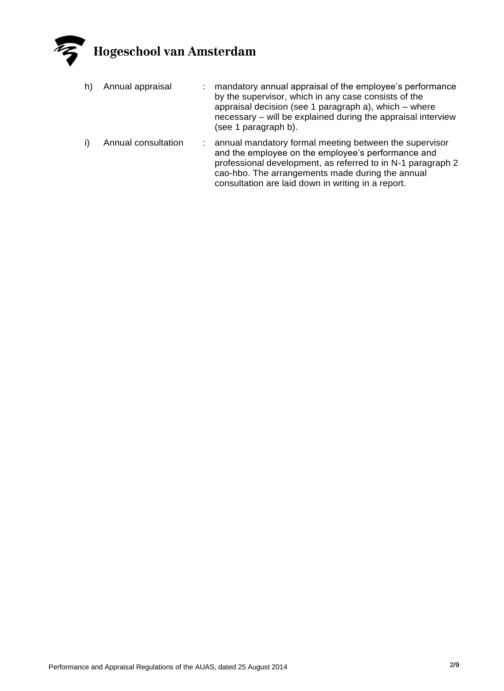

- h) Annual appraisal : mandatory annual appraisal of the employee's performance by the supervisor, which in any case consists of the appraisal decision (see 1 paragraph a), which – where necessary – will be explained during the appraisal interview (see 1 paragraph b).
- i) Annual consultation : annual mandatory formal meeting between the supervisor and the employee on the employee's performance and professional development, as referred to in N-1 paragraph 2 cao-hbo. The arrangements made during the annual consultation are laid down in writing in a report.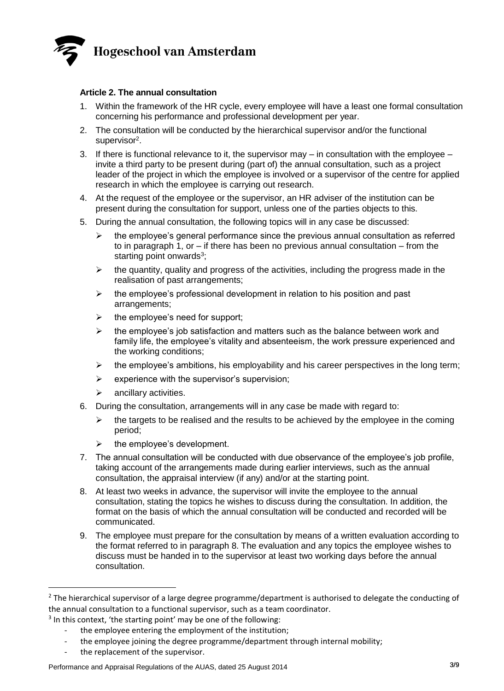

#### **Article 2. The annual consultation**

- 1. Within the framework of the HR cycle, every employee will have a least one formal consultation concerning his performance and professional development per year.
- 2. The consultation will be conducted by the hierarchical supervisor and/or the functional supervisor<sup>2</sup>.
- 3. If there is functional relevance to it, the supervisor may  $-$  in consultation with the employee  $$ invite a third party to be present during (part of) the annual consultation, such as a project leader of the project in which the employee is involved or a supervisor of the centre for applied research in which the employee is carrying out research.
- 4. At the request of the employee or the supervisor, an HR adviser of the institution can be present during the consultation for support, unless one of the parties objects to this.
- 5. During the annual consultation, the following topics will in any case be discussed:
	- $\triangleright$  the employee's general performance since the previous annual consultation as referred to in paragraph 1, or  $-$  if there has been no previous annual consultation  $-$  from the starting point onwards<sup>3</sup>;
	- $\triangleright$  the quantity, quality and progress of the activities, including the progress made in the realisation of past arrangements;
	- $\triangleright$  the employee's professional development in relation to his position and past arrangements;
	- $\triangleright$  the employee's need for support:
	- the employee's job satisfaction and matters such as the balance between work and family life, the employee's vitality and absenteeism, the work pressure experienced and the working conditions;
	- $\triangleright$  the employee's ambitions, his employability and his career perspectives in the long term;
	- $\triangleright$  experience with the supervisor's supervision;
	- $\triangleright$  ancillary activities.
- 6. During the consultation, arrangements will in any case be made with regard to:
	- $\triangleright$  the targets to be realised and the results to be achieved by the employee in the coming period;
	- $\triangleright$  the employee's development.
- 7. The annual consultation will be conducted with due observance of the employee's job profile, taking account of the arrangements made during earlier interviews, such as the annual consultation, the appraisal interview (if any) and/or at the starting point.
- 8. At least two weeks in advance, the supervisor will invite the employee to the annual consultation, stating the topics he wishes to discuss during the consultation. In addition, the format on the basis of which the annual consultation will be conducted and recorded will be communicated.
- 9. The employee must prepare for the consultation by means of a written evaluation according to the format referred to in paragraph 8. The evaluation and any topics the employee wishes to discuss must be handed in to the supervisor at least two working days before the annual consultation.

the replacement of the supervisor.

 $\ddot{\phantom{a}}$ 

 $2$  The hierarchical supervisor of a large degree programme/department is authorised to delegate the conducting of the annual consultation to a functional supervisor, such as a team coordinator.

<sup>&</sup>lt;sup>3</sup> In this context, 'the starting point' may be one of the following:

the employee entering the employment of the institution;

the employee joining the degree programme/department through internal mobility;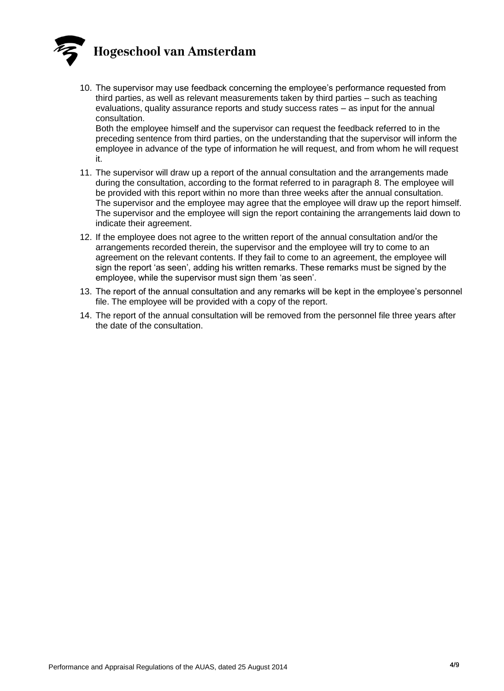

10. The supervisor may use feedback concerning the employee's performance requested from third parties, as well as relevant measurements taken by third parties – such as teaching evaluations, quality assurance reports and study success rates – as input for the annual consultation.

Both the employee himself and the supervisor can request the feedback referred to in the preceding sentence from third parties, on the understanding that the supervisor will inform the employee in advance of the type of information he will request, and from whom he will request it.

- 11. The supervisor will draw up a report of the annual consultation and the arrangements made during the consultation, according to the format referred to in paragraph 8. The employee will be provided with this report within no more than three weeks after the annual consultation. The supervisor and the employee may agree that the employee will draw up the report himself. The supervisor and the employee will sign the report containing the arrangements laid down to indicate their agreement.
- 12. If the employee does not agree to the written report of the annual consultation and/or the arrangements recorded therein, the supervisor and the employee will try to come to an agreement on the relevant contents. If they fail to come to an agreement, the employee will sign the report 'as seen', adding his written remarks. These remarks must be signed by the employee, while the supervisor must sign them 'as seen'.
- 13. The report of the annual consultation and any remarks will be kept in the employee's personnel file. The employee will be provided with a copy of the report.
- 14. The report of the annual consultation will be removed from the personnel file three years after the date of the consultation.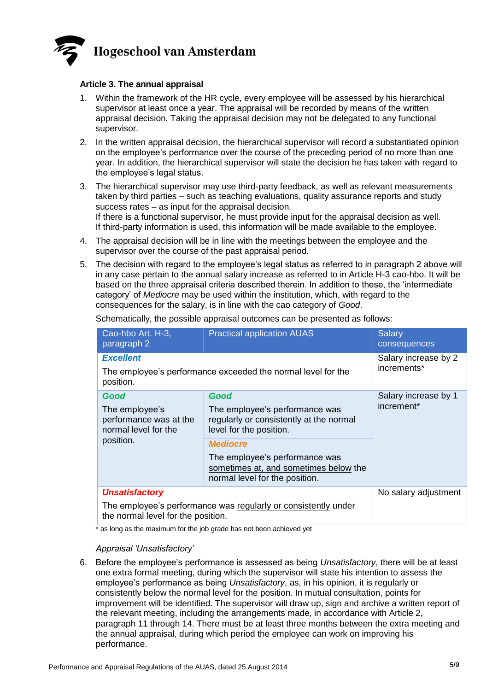

#### **Article 3. The annual appraisal**

- 1. Within the framework of the HR cycle, every employee will be assessed by his hierarchical supervisor at least once a year. The appraisal will be recorded by means of the written appraisal decision. Taking the appraisal decision may not be delegated to any functional supervisor.
- 2. In the written appraisal decision, the hierarchical supervisor will record a substantiated opinion on the employee's performance over the course of the preceding period of no more than one year. In addition, the hierarchical supervisor will state the decision he has taken with regard to the employee's legal status.
- 3. The hierarchical supervisor may use third-party feedback, as well as relevant measurements taken by third parties – such as teaching evaluations, quality assurance reports and study success rates – as input for the appraisal decision. If there is a functional supervisor, he must provide input for the appraisal decision as well. If third-party information is used, this information will be made available to the employee.
- 4. The appraisal decision will be in line with the meetings between the employee and the supervisor over the course of the past appraisal period.
- 5. The decision with regard to the employee's legal status as referred to in paragraph 2 above will in any case pertain to the annual salary increase as referred to in Article H-3 cao-hbo. It will be based on the three appraisal criteria described therein. In addition to these, the 'intermediate category' of *Mediocre* may be used within the institution, which, with regard to the consequences for the salary, is in line with the cao category of *Good*.

| Cao-hbo Art. H-3,<br>paragraph 2                                                                     | <b>Practical application AUAS</b>                                                                         | <b>Salary</b><br>consequences |  |  |  |  |
|------------------------------------------------------------------------------------------------------|-----------------------------------------------------------------------------------------------------------|-------------------------------|--|--|--|--|
| <b>Excellent</b>                                                                                     | Salary increase by 2                                                                                      |                               |  |  |  |  |
| The employee's performance exceeded the normal level for the<br>position.                            | increments*                                                                                               |                               |  |  |  |  |
| Good                                                                                                 | Good                                                                                                      | Salary increase by 1          |  |  |  |  |
| The employee's<br>performance was at the<br>normal level for the<br>position.                        | The employee's performance was<br>regularly or consistently at the normal<br>level for the position.      | increment <sup>*</sup>        |  |  |  |  |
|                                                                                                      | <b>Mediocre</b>                                                                                           |                               |  |  |  |  |
|                                                                                                      | The employee's performance was<br>sometimes at, and sometimes below the<br>normal level for the position. |                               |  |  |  |  |
| <b>Unsatisfactory</b>                                                                                | No salary adjustment                                                                                      |                               |  |  |  |  |
| The employee's performance was regularly or consistently under<br>the normal level for the position. |                                                                                                           |                               |  |  |  |  |
|                                                                                                      |                                                                                                           |                               |  |  |  |  |

Schematically, the possible appraisal outcomes can be presented as follows:

\* as long as the maximum for the job grade has not been achieved yet

#### *Appraisal 'Unsatisfactory'*

6. Before the employee's performance is assessed as being *Unsatisfactory*, there will be at least one extra formal meeting, during which the supervisor will state his intention to assess the employee's performance as being *Unsatisfactory*, as, in his opinion, it is regularly or consistently below the normal level for the position. In mutual consultation, points for improvement will be identified. The supervisor will draw up, sign and archive a written report of the relevant meeting, including the arrangements made, in accordance with Article 2, paragraph 11 through 14. There must be at least three months between the extra meeting and the annual appraisal, during which period the employee can work on improving his performance.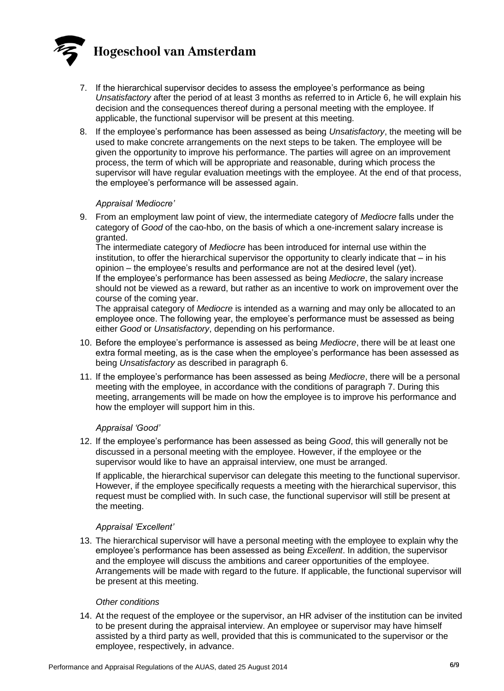

- 7. If the hierarchical supervisor decides to assess the employee's performance as being *Unsatisfactory* after the period of at least 3 months as referred to in Article 6, he will explain his decision and the consequences thereof during a personal meeting with the employee. If applicable, the functional supervisor will be present at this meeting.
- 8. If the employee's performance has been assessed as being *Unsatisfactory*, the meeting will be used to make concrete arrangements on the next steps to be taken. The employee will be given the opportunity to improve his performance. The parties will agree on an improvement process, the term of which will be appropriate and reasonable, during which process the supervisor will have regular evaluation meetings with the employee. At the end of that process, the employee's performance will be assessed again.

#### *Appraisal 'Mediocre'*

9. From an employment law point of view, the intermediate category of *Mediocre* falls under the category of *Good* of the cao-hbo, on the basis of which a one-increment salary increase is granted.

The intermediate category of *Mediocre* has been introduced for internal use within the institution, to offer the hierarchical supervisor the opportunity to clearly indicate that – in his opinion – the employee's results and performance are not at the desired level (yet). If the employee's performance has been assessed as being *Mediocre*, the salary increase should not be viewed as a reward, but rather as an incentive to work on improvement over the course of the coming year.

The appraisal category of *Mediocre* is intended as a warning and may only be allocated to an employee once. The following year, the employee's performance must be assessed as being either *Good* or *Unsatisfactory*, depending on his performance.

- 10. Before the employee's performance is assessed as being *Mediocre*, there will be at least one extra formal meeting, as is the case when the employee's performance has been assessed as being *Unsatisfactory* as described in paragraph 6.
- 11. If the employee's performance has been assessed as being *Mediocre*, there will be a personal meeting with the employee, in accordance with the conditions of paragraph 7. During this meeting, arrangements will be made on how the employee is to improve his performance and how the employer will support him in this.

#### *Appraisal 'Good'*

12. If the employee's performance has been assessed as being *Good*, this will generally not be discussed in a personal meeting with the employee. However, if the employee or the supervisor would like to have an appraisal interview, one must be arranged.

If applicable, the hierarchical supervisor can delegate this meeting to the functional supervisor. However, if the employee specifically requests a meeting with the hierarchical supervisor, this request must be complied with. In such case, the functional supervisor will still be present at the meeting.

#### *Appraisal 'Excellent'*

13. The hierarchical supervisor will have a personal meeting with the employee to explain why the employee's performance has been assessed as being *Excellent*. In addition, the supervisor and the employee will discuss the ambitions and career opportunities of the employee. Arrangements will be made with regard to the future. If applicable, the functional supervisor will be present at this meeting.

#### *Other conditions*

14. At the request of the employee or the supervisor, an HR adviser of the institution can be invited to be present during the appraisal interview. An employee or supervisor may have himself assisted by a third party as well, provided that this is communicated to the supervisor or the employee, respectively, in advance.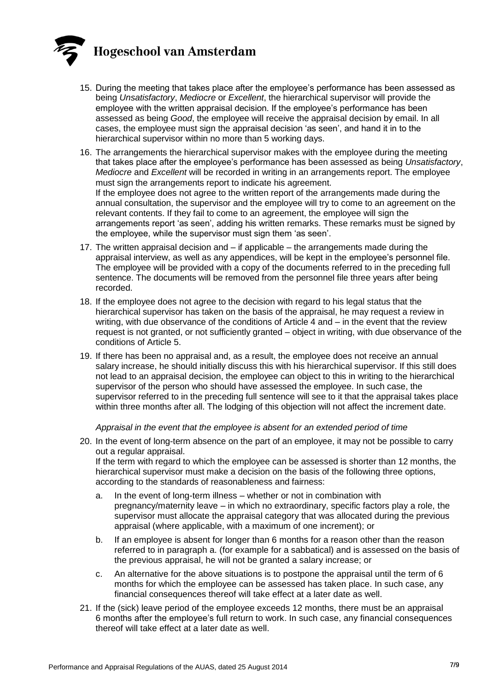

- 15. During the meeting that takes place after the employee's performance has been assessed as being *Unsatisfactory*, *Mediocre* or *Excellent*, the hierarchical supervisor will provide the employee with the written appraisal decision. If the employee's performance has been assessed as being *Good*, the employee will receive the appraisal decision by email. In all cases, the employee must sign the appraisal decision 'as seen', and hand it in to the hierarchical supervisor within no more than 5 working days.
- 16. The arrangements the hierarchical supervisor makes with the employee during the meeting that takes place after the employee's performance has been assessed as being *Unsatisfactory*, *Mediocre* and *Excellent* will be recorded in writing in an arrangements report. The employee must sign the arrangements report to indicate his agreement. If the employee does not agree to the written report of the arrangements made during the annual consultation, the supervisor and the employee will try to come to an agreement on the relevant contents. If they fail to come to an agreement, the employee will sign the arrangements report 'as seen', adding his written remarks. These remarks must be signed by the employee, while the supervisor must sign them 'as seen'.
- 17. The written appraisal decision and if applicable the arrangements made during the appraisal interview, as well as any appendices, will be kept in the employee's personnel file. The employee will be provided with a copy of the documents referred to in the preceding full sentence. The documents will be removed from the personnel file three years after being recorded.
- 18. If the employee does not agree to the decision with regard to his legal status that the hierarchical supervisor has taken on the basis of the appraisal, he may request a review in writing, with due observance of the conditions of Article 4 and – in the event that the review request is not granted, or not sufficiently granted – object in writing, with due observance of the conditions of Article 5.
- 19. If there has been no appraisal and, as a result, the employee does not receive an annual salary increase, he should initially discuss this with his hierarchical supervisor. If this still does not lead to an appraisal decision, the employee can object to this in writing to the hierarchical supervisor of the person who should have assessed the employee. In such case, the supervisor referred to in the preceding full sentence will see to it that the appraisal takes place within three months after all. The lodging of this objection will not affect the increment date.

#### *Appraisal in the event that the employee is absent for an extended period of time*

20. In the event of long-term absence on the part of an employee, it may not be possible to carry out a regular appraisal.

If the term with regard to which the employee can be assessed is shorter than 12 months, the hierarchical supervisor must make a decision on the basis of the following three options, according to the standards of reasonableness and fairness:

- a. In the event of long-term illness whether or not in combination with pregnancy/maternity leave – in which no extraordinary, specific factors play a role, the supervisor must allocate the appraisal category that was allocated during the previous appraisal (where applicable, with a maximum of one increment); or
- b. If an employee is absent for longer than 6 months for a reason other than the reason referred to in paragraph a. (for example for a sabbatical) and is assessed on the basis of the previous appraisal, he will not be granted a salary increase; or
- c. An alternative for the above situations is to postpone the appraisal until the term of 6 months for which the employee can be assessed has taken place. In such case, any financial consequences thereof will take effect at a later date as well.
- 21. If the (sick) leave period of the employee exceeds 12 months, there must be an appraisal 6 months after the employee's full return to work. In such case, any financial consequences thereof will take effect at a later date as well.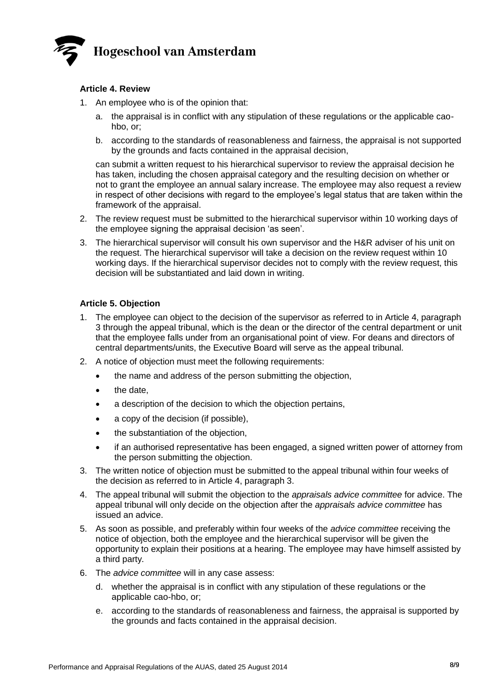

#### **Article 4. Review**

- 1. An employee who is of the opinion that:
	- a. the appraisal is in conflict with any stipulation of these regulations or the applicable caohbo, or;
	- b. according to the standards of reasonableness and fairness, the appraisal is not supported by the grounds and facts contained in the appraisal decision,

can submit a written request to his hierarchical supervisor to review the appraisal decision he has taken, including the chosen appraisal category and the resulting decision on whether or not to grant the employee an annual salary increase. The employee may also request a review in respect of other decisions with regard to the employee's legal status that are taken within the framework of the appraisal.

- 2. The review request must be submitted to the hierarchical supervisor within 10 working days of the employee signing the appraisal decision 'as seen'.
- 3. The hierarchical supervisor will consult his own supervisor and the H&R adviser of his unit on the request. The hierarchical supervisor will take a decision on the review request within 10 working days. If the hierarchical supervisor decides not to comply with the review request, this decision will be substantiated and laid down in writing.

#### **Article 5. Objection**

- 1. The employee can object to the decision of the supervisor as referred to in Article 4, paragraph 3 through the appeal tribunal, which is the dean or the director of the central department or unit that the employee falls under from an organisational point of view. For deans and directors of central departments/units, the Executive Board will serve as the appeal tribunal.
- 2. A notice of objection must meet the following requirements:
	- the name and address of the person submitting the objection,
	- the date,
	- a description of the decision to which the objection pertains,
	- a copy of the decision (if possible),
	- the substantiation of the objection,
	- if an authorised representative has been engaged, a signed written power of attorney from the person submitting the objection.
- 3. The written notice of objection must be submitted to the appeal tribunal within four weeks of the decision as referred to in Article 4, paragraph 3.
- 4. The appeal tribunal will submit the objection to the *appraisals advice committee* for advice. The appeal tribunal will only decide on the objection after the *appraisals advice committee* has issued an advice.
- 5. As soon as possible, and preferably within four weeks of the *advice committee* receiving the notice of objection, both the employee and the hierarchical supervisor will be given the opportunity to explain their positions at a hearing. The employee may have himself assisted by a third party.
- 6. The *advice committee* will in any case assess:
	- d. whether the appraisal is in conflict with any stipulation of these regulations or the applicable cao-hbo, or;
	- e. according to the standards of reasonableness and fairness, the appraisal is supported by the grounds and facts contained in the appraisal decision.